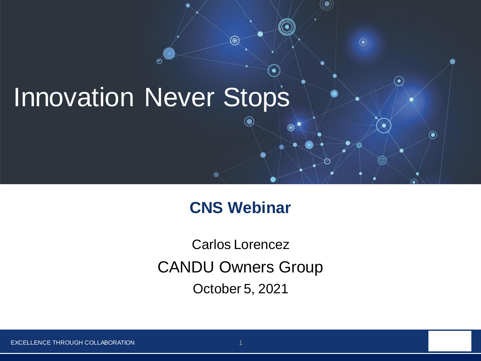### Innovation Never Stops

 $\circledast$ 

#### **CNS Webinar**

⊚)

 $\odot$ 

 $\odot$ 

 $\circledbullet$ 

CANDU Owners Group Carlos Lorencez October 5, 2021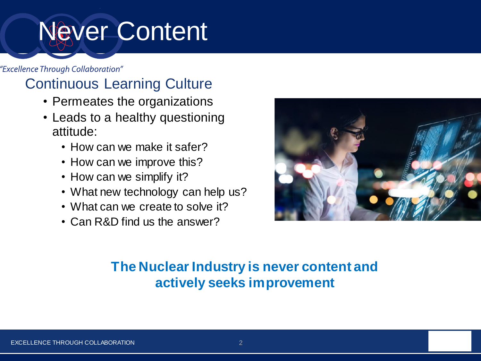# Never Content

"Excellence Through Collaboration"

#### Continuous Learning Culture

- Permeates the organizations
- Leads to a healthy questioning attitude:
	- How can we make it safer?
	- How can we improve this?
	- How can we simplify it?
	- What new technology can help us?
	- What can we create to solve it?
	- Can R&D find us the answer?



#### **The Nuclear Industry is never content and actively seeks improvement**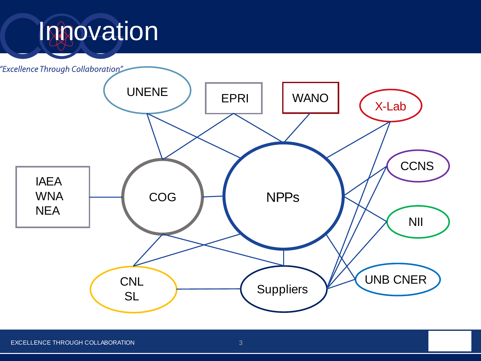## Innovation

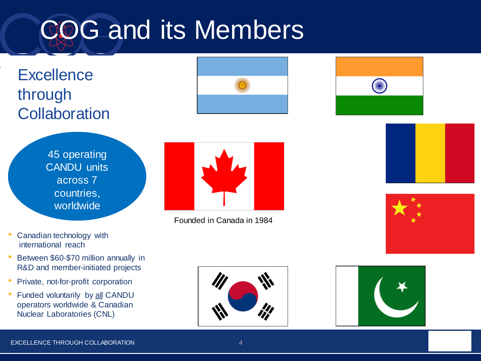# COG and its Members

### **Excellence** through **Collaboration**





45 operating CANDU units across 7 countries, worldwide

Founded in Canada in 1984



- Canadian technology with international reach
- Between \$60-\$70 million annually in R&D and member-initiated projects
- Private, not-for-profit corporation
- Funded voluntarily by all CANDU operators worldwide & Canadian Nuclear Laboratories (CNL)



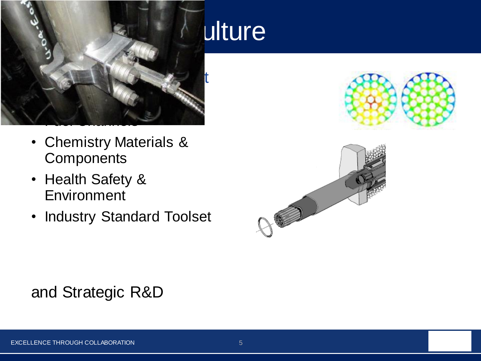

- Chemistry Materials & **Components**
- Health Safety & Environment
- Industry Standard Toolset

### ulture





### and Strategic R&D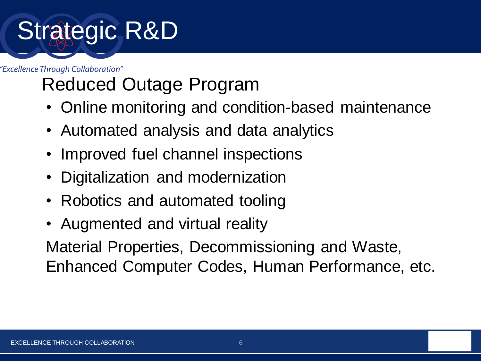# Strategic R&D

"Excellence Through Collaboration"

### Reduced Outage Program

- Online monitoring and condition-based maintenance
- Automated analysis and data analytics
- Improved fuel channel inspections
- Digitalization and modernization
- Robotics and automated tooling
- Augmented and virtual reality

Material Properties, Decommissioning and Waste, Enhanced Computer Codes, Human Performance, etc.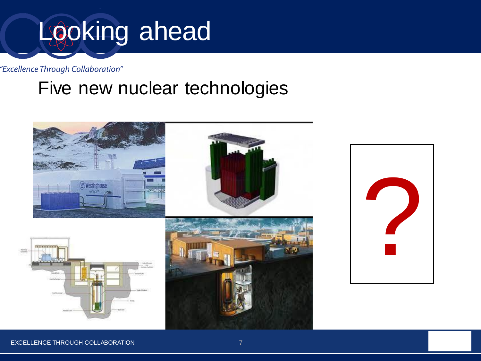# Looking ahead

"Excellence Through Collaboration"

### Five new nuclear technologies





EXCELLENCE THROUGH COLLABORATION **FOR A 200 YO F AND THE COLL AND THE COLL ASSESS**